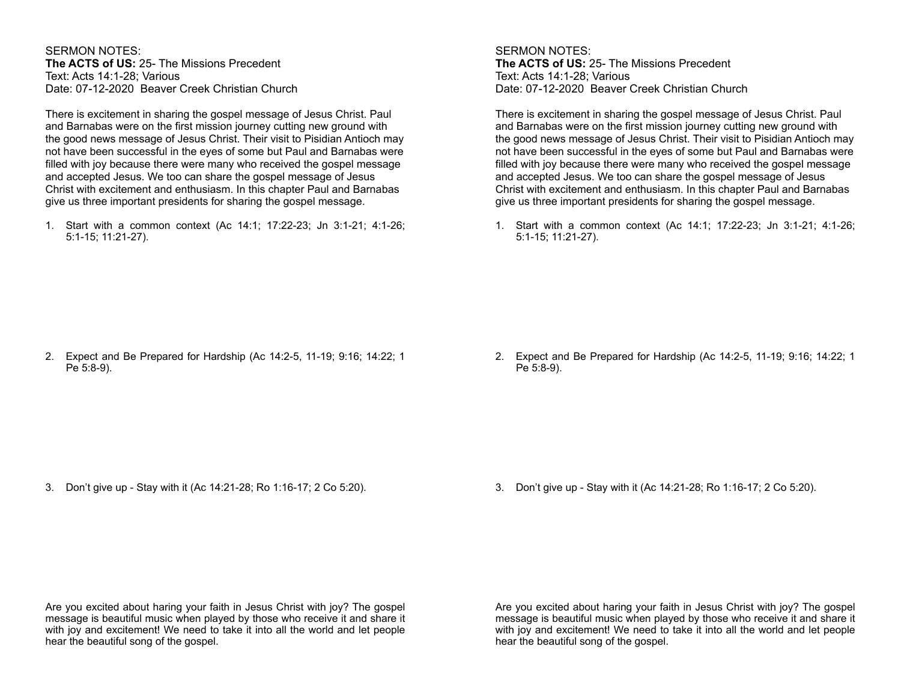SERMON NOTES: **The ACTS of US:** 25- The Missions Precedent Text: Acts 14:1-28; Various Date: 07-12-2020 Beaver Creek Christian Church

There is excitement in sharing the gospel message of Jesus Christ. Paul and Barnabas were on the first mission journey cutting new ground with the good news message of Jesus Christ. Their visit to Pisidian Antioch may not have been successful in the eyes of some but Paul and Barnabas were filled with joy because there were many who received the gospel message and accepted Jesus. We too can share the gospel message of Jesus Christ with excitement and enthusiasm. In this chapter Paul and Barnabas give us three important presidents for sharing the gospel message.

1. Start with a common context (Ac 14:1; 17:22-23; Jn 3:1-21; 4:1-26; 5:1-15; 11:21-27).

SERMON NOTES: **The ACTS of US:** 25- The Missions Precedent Text: Acts 14:1-28; Various Date: 07-12-2020 Beaver Creek Christian Church

There is excitement in sharing the gospel message of Jesus Christ. Paul and Barnabas were on the first mission journey cutting new ground with the good news message of Jesus Christ. Their visit to Pisidian Antioch may not have been successful in the eyes of some but Paul and Barnabas were filled with joy because there were many who received the gospel message and accepted Jesus. We too can share the gospel message of Jesus Christ with excitement and enthusiasm. In this chapter Paul and Barnabas give us three important presidents for sharing the gospel message.

1. Start with a common context (Ac 14:1; 17:22-23; Jn 3:1-21; 4:1-26; 5:1-15; 11:21-27).

2. Expect and Be Prepared for Hardship (Ac 14:2-5, 11-19; 9:16; 14:22; 1 Pe 5:8-9).

2. Expect and Be Prepared for Hardship (Ac 14:2-5, 11-19; 9:16; 14:22; 1 Pe 5:8-9).

3. Don't give up - Stay with it (Ac 14:21-28; Ro 1:16-17; 2 Co 5:20).

3. Don't give up - Stay with it (Ac 14:21-28; Ro 1:16-17; 2 Co 5:20).

Are you excited about haring your faith in Jesus Christ with joy? The gospel message is beautiful music when played by those who receive it and share it with joy and excitement! We need to take it into all the world and let people hear the beautiful song of the gospel.

Are you excited about haring your faith in Jesus Christ with joy? The gospel message is beautiful music when played by those who receive it and share it with joy and excitement! We need to take it into all the world and let people hear the beautiful song of the gospel.